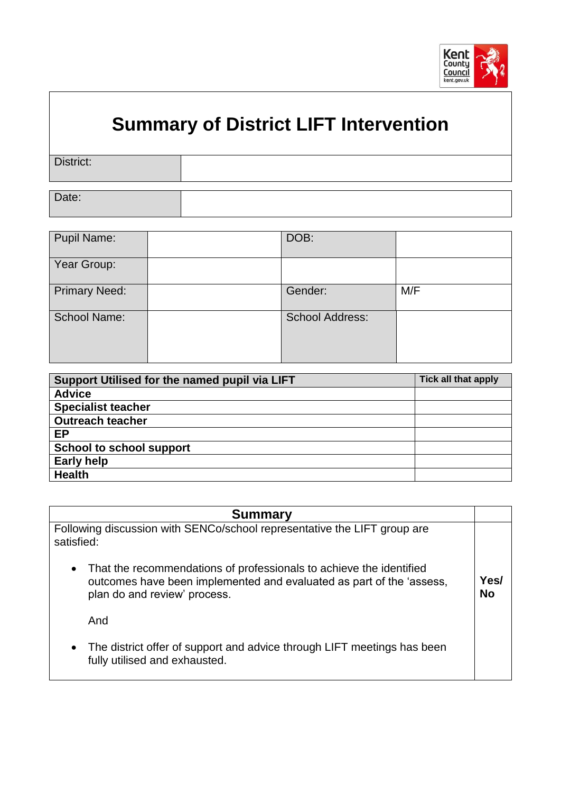

## **Summary of District LIFT Intervention**

| District: |  |
|-----------|--|
|           |  |
| Date:     |  |

| <b>Pupil Name:</b>   | DOB:                   |     |
|----------------------|------------------------|-----|
| Year Group:          |                        |     |
| <b>Primary Need:</b> | Gender:                | M/F |
| <b>School Name:</b>  | <b>School Address:</b> |     |

| Support Utilised for the named pupil via LIFT | <b>Tick all that apply</b> |
|-----------------------------------------------|----------------------------|
| <b>Advice</b>                                 |                            |
| <b>Specialist teacher</b>                     |                            |
| <b>Outreach teacher</b>                       |                            |
| <b>EP</b>                                     |                            |
| <b>School to school support</b>               |                            |
| <b>Early help</b>                             |                            |
| <b>Health</b>                                 |                            |

| <b>Summary</b>                                                                                                                                                                           |            |
|------------------------------------------------------------------------------------------------------------------------------------------------------------------------------------------|------------|
| Following discussion with SENCo/school representative the LIFT group are<br>satisfied:                                                                                                   |            |
| That the recommendations of professionals to achieve the identified<br>$\bullet$<br>outcomes have been implemented and evaluated as part of the 'assess,<br>plan do and review' process. | Yes/<br>No |
| And                                                                                                                                                                                      |            |
| The district offer of support and advice through LIFT meetings has been<br>$\bullet$<br>fully utilised and exhausted.                                                                    |            |